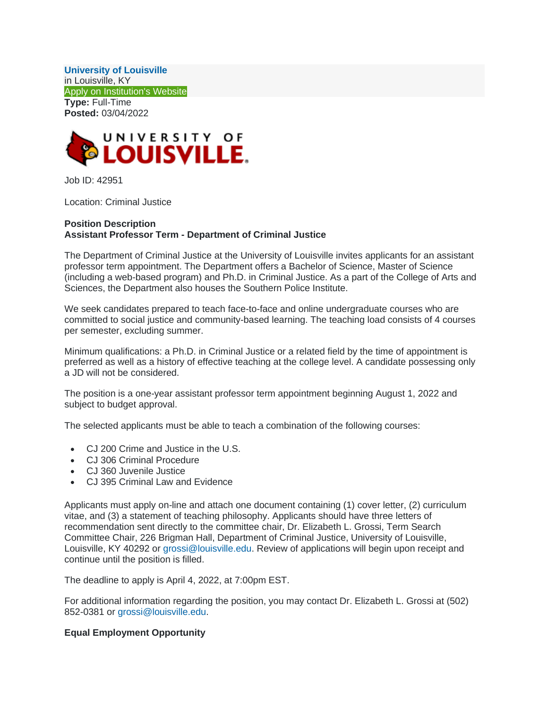**[University of Louisville](http://louisville.edu/)** in Louisville, KY [Apply on Institution's Website](https://www.higheredjobs.com/clickthru/redirect.cfm?JobCode=177831180)  **Type:** Full-Time **Posted:** 03/04/2022



Job ID: 42951

Location: Criminal Justice

## **Position Description Assistant Professor Term - Department of Criminal Justice**

The Department of Criminal Justice at the University of Louisville invites applicants for an assistant professor term appointment. The Department offers a Bachelor of Science, Master of Science (including a web-based program) and Ph.D. in Criminal Justice. As a part of the College of Arts and Sciences, the Department also houses the Southern Police Institute.

We seek candidates prepared to teach face-to-face and online undergraduate courses who are committed to social justice and community-based learning. The teaching load consists of 4 courses per semester, excluding summer.

Minimum qualifications: a Ph.D. in Criminal Justice or a related field by the time of appointment is preferred as well as a history of effective teaching at the college level. A candidate possessing only a JD will not be considered.

The position is a one-year assistant professor term appointment beginning August 1, 2022 and subject to budget approval.

The selected applicants must be able to teach a combination of the following courses:

- CJ 200 Crime and Justice in the U.S.
- CJ 306 Criminal Procedure
- CJ 360 Juvenile Justice
- CJ 395 Criminal Law and Evidence

Applicants must apply on-line and attach one document containing (1) cover letter, (2) curriculum vitae, and (3) a statement of teaching philosophy. Applicants should have three letters of recommendation sent directly to the committee chair, Dr. Elizabeth L. Grossi, Term Search Committee Chair, 226 Brigman Hall, Department of Criminal Justice, University of Louisville, Louisville, KY 40292 or [grossi@louisville.edu.](mailto:grossi@louisville.edu) Review of applications will begin upon receipt and continue until the position is filled.

The deadline to apply is April 4, 2022, at 7:00pm EST.

For additional information regarding the position, you may contact Dr. Elizabeth L. Grossi at (502) 852-0381 or [grossi@louisville.edu.](mailto:grossi@louisville.edu)

## **Equal Employment Opportunity**